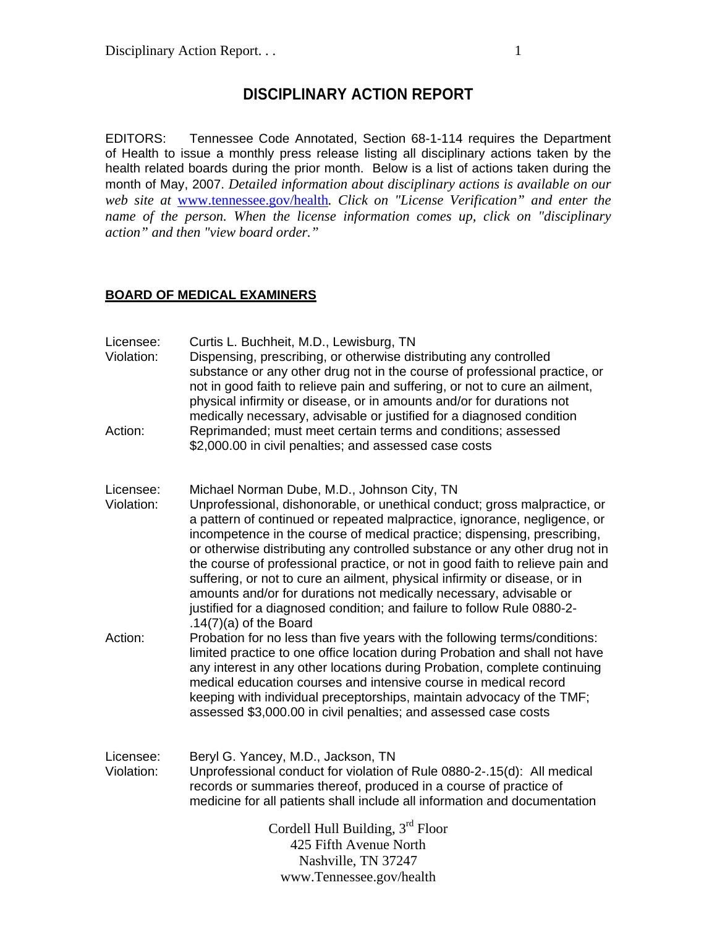# **DISCIPLINARY ACTION REPORT**

EDITORS: Tennessee Code Annotated, Section 68-1-114 requires the Department of Health to issue a monthly press release listing all disciplinary actions taken by the health related boards during the prior month. Below is a list of actions taken during the month of May, 2007. *Detailed information about disciplinary actions is available on our web site at* www.tennessee.gov/health*. Click on "License Verification" and enter the name of the person. When the license information comes up, click on "disciplinary action" and then "view board order."* 

### **BOARD OF MEDICAL EXAMINERS**

| Licensee:<br>Violation: | Curtis L. Buchheit, M.D., Lewisburg, TN<br>Dispensing, prescribing, or otherwise distributing any controlled<br>substance or any other drug not in the course of professional practice, or<br>not in good faith to relieve pain and suffering, or not to cure an ailment,<br>physical infirmity or disease, or in amounts and/or for durations not                                                                                                                                                                                                                                                                                                                                                           |
|-------------------------|--------------------------------------------------------------------------------------------------------------------------------------------------------------------------------------------------------------------------------------------------------------------------------------------------------------------------------------------------------------------------------------------------------------------------------------------------------------------------------------------------------------------------------------------------------------------------------------------------------------------------------------------------------------------------------------------------------------|
| Action:                 | medically necessary, advisable or justified for a diagnosed condition<br>Reprimanded; must meet certain terms and conditions; assessed<br>\$2,000.00 in civil penalties; and assessed case costs                                                                                                                                                                                                                                                                                                                                                                                                                                                                                                             |
| Licensee:<br>Violation: | Michael Norman Dube, M.D., Johnson City, TN<br>Unprofessional, dishonorable, or unethical conduct; gross malpractice, or<br>a pattern of continued or repeated malpractice, ignorance, negligence, or<br>incompetence in the course of medical practice; dispensing, prescribing,<br>or otherwise distributing any controlled substance or any other drug not in<br>the course of professional practice, or not in good faith to relieve pain and<br>suffering, or not to cure an ailment, physical infirmity or disease, or in<br>amounts and/or for durations not medically necessary, advisable or<br>justified for a diagnosed condition; and failure to follow Rule 0880-2-<br>$.14(7)(a)$ of the Board |
| Action:                 | Probation for no less than five years with the following terms/conditions:<br>limited practice to one office location during Probation and shall not have<br>any interest in any other locations during Probation, complete continuing<br>medical education courses and intensive course in medical record<br>keeping with individual preceptorships, maintain advocacy of the TMF;<br>assessed \$3,000.00 in civil penalties; and assessed case costs                                                                                                                                                                                                                                                       |
| Licensee:<br>Violation: | Beryl G. Yancey, M.D., Jackson, TN<br>Unprofessional conduct for violation of Rule 0880-2-.15(d): All medical<br>records or summaries thereof, produced in a course of practice of<br>medicine for all patients shall include all information and documentation                                                                                                                                                                                                                                                                                                                                                                                                                                              |
|                         | Cordell Hull Building, 3rd Floor<br>425 Fifth Avenue North                                                                                                                                                                                                                                                                                                                                                                                                                                                                                                                                                                                                                                                   |
|                         | Nashville, TN 37247                                                                                                                                                                                                                                                                                                                                                                                                                                                                                                                                                                                                                                                                                          |
|                         | www.Tennessee.gov/health                                                                                                                                                                                                                                                                                                                                                                                                                                                                                                                                                                                                                                                                                     |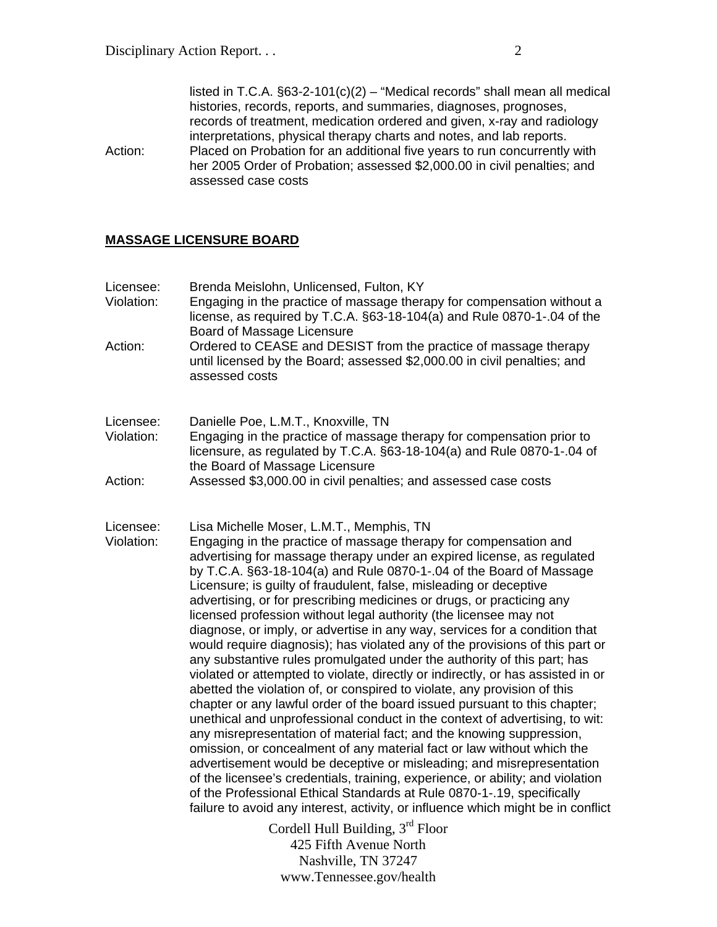listed in T.C.A. §63-2-101(c)(2) – "Medical records" shall mean all medical histories, records, reports, and summaries, diagnoses, prognoses, records of treatment, medication ordered and given, x-ray and radiology interpretations, physical therapy charts and notes, and lab reports. Action: Placed on Probation for an additional five years to run concurrently with her 2005 Order of Probation; assessed \$2,000.00 in civil penalties; and assessed case costs

### **MASSAGE LICENSURE BOARD**

| Licensee:<br>Violation:<br>Action: | Brenda Meislohn, Unlicensed, Fulton, KY<br>Engaging in the practice of massage therapy for compensation without a<br>license, as required by T.C.A. §63-18-104(a) and Rule 0870-1-.04 of the<br>Board of Massage Licensure<br>Ordered to CEASE and DESIST from the practice of massage therapy<br>until licensed by the Board; assessed \$2,000.00 in civil penalties; and<br>assessed costs                                                                                                                                                                                                                                                                                                                                                                                                                                                                                                                                                                                                                                                                                                                                                                                                                                                                                                                                                                                                                                                                                                                                     |
|------------------------------------|----------------------------------------------------------------------------------------------------------------------------------------------------------------------------------------------------------------------------------------------------------------------------------------------------------------------------------------------------------------------------------------------------------------------------------------------------------------------------------------------------------------------------------------------------------------------------------------------------------------------------------------------------------------------------------------------------------------------------------------------------------------------------------------------------------------------------------------------------------------------------------------------------------------------------------------------------------------------------------------------------------------------------------------------------------------------------------------------------------------------------------------------------------------------------------------------------------------------------------------------------------------------------------------------------------------------------------------------------------------------------------------------------------------------------------------------------------------------------------------------------------------------------------|
| Licensee:<br>Violation:<br>Action: | Danielle Poe, L.M.T., Knoxville, TN<br>Engaging in the practice of massage therapy for compensation prior to<br>licensure, as regulated by T.C.A. §63-18-104(a) and Rule 0870-1-.04 of<br>the Board of Massage Licensure<br>Assessed \$3,000.00 in civil penalties; and assessed case costs                                                                                                                                                                                                                                                                                                                                                                                                                                                                                                                                                                                                                                                                                                                                                                                                                                                                                                                                                                                                                                                                                                                                                                                                                                      |
| Licensee:<br>Violation:            | Lisa Michelle Moser, L.M.T., Memphis, TN<br>Engaging in the practice of massage therapy for compensation and<br>advertising for massage therapy under an expired license, as regulated<br>by T.C.A. §63-18-104(a) and Rule 0870-1-.04 of the Board of Massage<br>Licensure; is guilty of fraudulent, false, misleading or deceptive<br>advertising, or for prescribing medicines or drugs, or practicing any<br>licensed profession without legal authority (the licensee may not<br>diagnose, or imply, or advertise in any way, services for a condition that<br>would require diagnosis); has violated any of the provisions of this part or<br>any substantive rules promulgated under the authority of this part; has<br>violated or attempted to violate, directly or indirectly, or has assisted in or<br>abetted the violation of, or conspired to violate, any provision of this<br>chapter or any lawful order of the board issued pursuant to this chapter;<br>unethical and unprofessional conduct in the context of advertising, to wit:<br>any misrepresentation of material fact; and the knowing suppression,<br>omission, or concealment of any material fact or law without which the<br>advertisement would be deceptive or misleading; and misrepresentation<br>of the licensee's credentials, training, experience, or ability; and violation<br>of the Professional Ethical Standards at Rule 0870-1-.19, specifically<br>failure to avoid any interest, activity, or influence which might be in conflict |
|                                    | Cordell Hull Building, $3rd$ Floor                                                                                                                                                                                                                                                                                                                                                                                                                                                                                                                                                                                                                                                                                                                                                                                                                                                                                                                                                                                                                                                                                                                                                                                                                                                                                                                                                                                                                                                                                               |

425 Fifth Avenue North Nashville, TN 37247 www.Tennessee.gov/health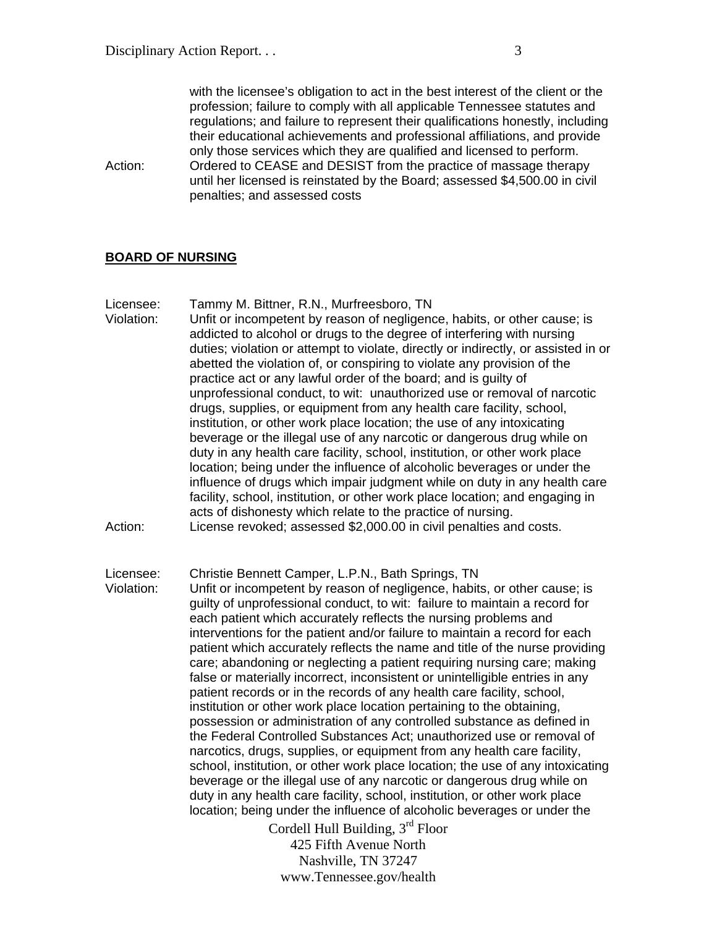with the licensee's obligation to act in the best interest of the client or the profession; failure to comply with all applicable Tennessee statutes and regulations; and failure to represent their qualifications honestly, including their educational achievements and professional affiliations, and provide only those services which they are qualified and licensed to perform. Action: Ordered to CEASE and DESIST from the practice of massage therapy until her licensed is reinstated by the Board; assessed \$4,500.00 in civil penalties; and assessed costs

#### **BOARD OF NURSING**

Licensee: Tammy M. Bittner, R.N., Murfreesboro, TN Violation: Unfit or incompetent by reason of negligence, habits, or other cause; is addicted to alcohol or drugs to the degree of interfering with nursing duties; violation or attempt to violate, directly or indirectly, or assisted in or abetted the violation of, or conspiring to violate any provision of the practice act or any lawful order of the board; and is guilty of unprofessional conduct, to wit: unauthorized use or removal of narcotic drugs, supplies, or equipment from any health care facility, school, institution, or other work place location; the use of any intoxicating beverage or the illegal use of any narcotic or dangerous drug while on duty in any health care facility, school, institution, or other work place location; being under the influence of alcoholic beverages or under the influence of drugs which impair judgment while on duty in any health care facility, school, institution, or other work place location; and engaging in acts of dishonesty which relate to the practice of nursing. Action: License revoked; assessed \$2,000.00 in civil penalties and costs.

Licensee: Christie Bennett Camper, L.P.N., Bath Springs, TN Violation: Unfit or incompetent by reason of negligence, habits, or other cause; is guilty of unprofessional conduct, to wit: failure to maintain a record for each patient which accurately reflects the nursing problems and interventions for the patient and/or failure to maintain a record for each patient which accurately reflects the name and title of the nurse providing care; abandoning or neglecting a patient requiring nursing care; making false or materially incorrect, inconsistent or unintelligible entries in any patient records or in the records of any health care facility, school, institution or other work place location pertaining to the obtaining, possession or administration of any controlled substance as defined in the Federal Controlled Substances Act; unauthorized use or removal of narcotics, drugs, supplies, or equipment from any health care facility, school, institution, or other work place location; the use of any intoxicating beverage or the illegal use of any narcotic or dangerous drug while on duty in any health care facility, school, institution, or other work place location; being under the influence of alcoholic beverages or under the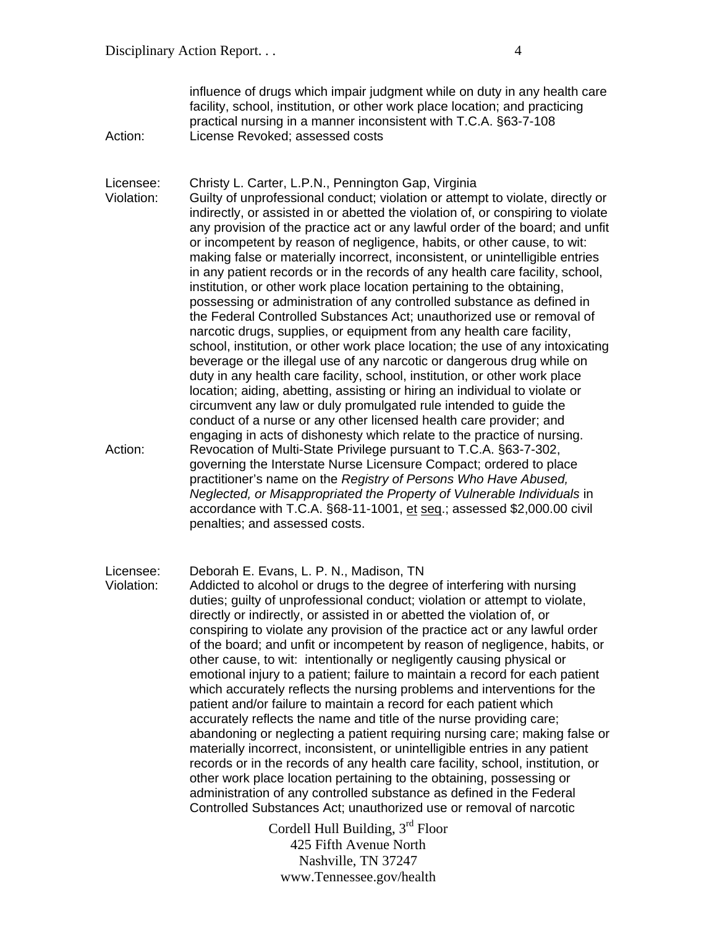influence of drugs which impair judgment while on duty in any health care facility, school, institution, or other work place location; and practicing practical nursing in a manner inconsistent with T.C.A. §63-7-108 Action: License Revoked; assessed costs

Licensee: Christy L. Carter, L.P.N., Pennington Gap, Virginia Violation: Guilty of unprofessional conduct; violation or attempt to violate, directly or indirectly, or assisted in or abetted the violation of, or conspiring to violate any provision of the practice act or any lawful order of the board; and unfit or incompetent by reason of negligence, habits, or other cause, to wit: making false or materially incorrect, inconsistent, or unintelligible entries in any patient records or in the records of any health care facility, school, institution, or other work place location pertaining to the obtaining, possessing or administration of any controlled substance as defined in the Federal Controlled Substances Act; unauthorized use or removal of narcotic drugs, supplies, or equipment from any health care facility, school, institution, or other work place location; the use of any intoxicating beverage or the illegal use of any narcotic or dangerous drug while on duty in any health care facility, school, institution, or other work place location; aiding, abetting, assisting or hiring an individual to violate or circumvent any law or duly promulgated rule intended to guide the conduct of a nurse or any other licensed health care provider; and engaging in acts of dishonesty which relate to the practice of nursing. Action: Revocation of Multi-State Privilege pursuant to T.C.A. §63-7-302, governing the Interstate Nurse Licensure Compact; ordered to place practitioner's name on the *Registry of Persons Who Have Abused, Neglected, or Misappropriated the Property of Vulnerable Individuals* in accordance with T.C.A. §68-11-1001, et seq.; assessed \$2,000.00 civil penalties; and assessed costs.

Licensee: Deborah E. Evans, L. P. N., Madison, TN

Violation: Addicted to alcohol or drugs to the degree of interfering with nursing duties; guilty of unprofessional conduct; violation or attempt to violate, directly or indirectly, or assisted in or abetted the violation of, or conspiring to violate any provision of the practice act or any lawful order of the board; and unfit or incompetent by reason of negligence, habits, or other cause, to wit: intentionally or negligently causing physical or emotional injury to a patient; failure to maintain a record for each patient which accurately reflects the nursing problems and interventions for the patient and/or failure to maintain a record for each patient which accurately reflects the name and title of the nurse providing care; abandoning or neglecting a patient requiring nursing care; making false or materially incorrect, inconsistent, or unintelligible entries in any patient records or in the records of any health care facility, school, institution, or other work place location pertaining to the obtaining, possessing or administration of any controlled substance as defined in the Federal Controlled Substances Act; unauthorized use or removal of narcotic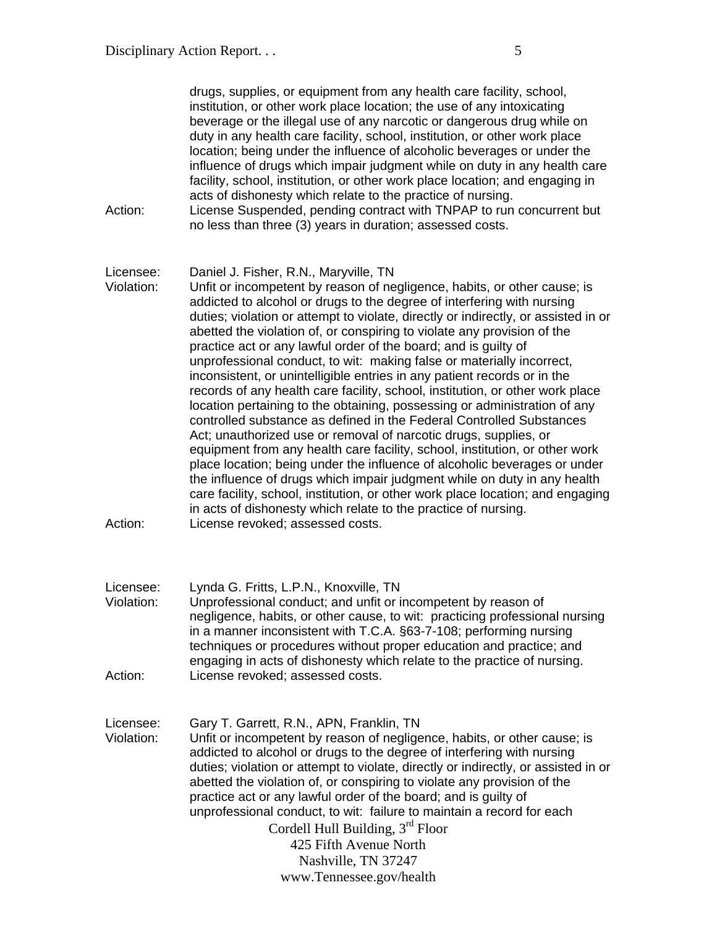| Action:                            | drugs, supplies, or equipment from any health care facility, school,<br>institution, or other work place location; the use of any intoxicating<br>beverage or the illegal use of any narcotic or dangerous drug while on<br>duty in any health care facility, school, institution, or other work place<br>location; being under the influence of alcoholic beverages or under the<br>influence of drugs which impair judgment while on duty in any health care<br>facility, school, institution, or other work place location; and engaging in<br>acts of dishonesty which relate to the practice of nursing.<br>License Suspended, pending contract with TNPAP to run concurrent but<br>no less than three (3) years in duration; assessed costs.                                                                                                                                                                                                                                                                                                                                                                                                                                                                       |
|------------------------------------|--------------------------------------------------------------------------------------------------------------------------------------------------------------------------------------------------------------------------------------------------------------------------------------------------------------------------------------------------------------------------------------------------------------------------------------------------------------------------------------------------------------------------------------------------------------------------------------------------------------------------------------------------------------------------------------------------------------------------------------------------------------------------------------------------------------------------------------------------------------------------------------------------------------------------------------------------------------------------------------------------------------------------------------------------------------------------------------------------------------------------------------------------------------------------------------------------------------------------|
| Licensee:<br>Violation:            | Daniel J. Fisher, R.N., Maryville, TN<br>Unfit or incompetent by reason of negligence, habits, or other cause; is<br>addicted to alcohol or drugs to the degree of interfering with nursing<br>duties; violation or attempt to violate, directly or indirectly, or assisted in or<br>abetted the violation of, or conspiring to violate any provision of the<br>practice act or any lawful order of the board; and is guilty of<br>unprofessional conduct, to wit: making false or materially incorrect,<br>inconsistent, or unintelligible entries in any patient records or in the<br>records of any health care facility, school, institution, or other work place<br>location pertaining to the obtaining, possessing or administration of any<br>controlled substance as defined in the Federal Controlled Substances<br>Act; unauthorized use or removal of narcotic drugs, supplies, or<br>equipment from any health care facility, school, institution, or other work<br>place location; being under the influence of alcoholic beverages or under<br>the influence of drugs which impair judgment while on duty in any health<br>care facility, school, institution, or other work place location; and engaging |
| Action:                            | in acts of dishonesty which relate to the practice of nursing.<br>License revoked; assessed costs.                                                                                                                                                                                                                                                                                                                                                                                                                                                                                                                                                                                                                                                                                                                                                                                                                                                                                                                                                                                                                                                                                                                       |
| Licensee:<br>Violation:<br>Action: | Lynda G. Fritts, L.P.N., Knoxville, TN<br>Unprofessional conduct; and unfit or incompetent by reason of<br>negligence, habits, or other cause, to wit: practicing professional nursing<br>in a manner inconsistent with T.C.A. §63-7-108; performing nursing<br>techniques or procedures without proper education and practice; and<br>engaging in acts of dishonesty which relate to the practice of nursing.<br>License revoked; assessed costs.                                                                                                                                                                                                                                                                                                                                                                                                                                                                                                                                                                                                                                                                                                                                                                       |
| Licensee:<br>Violation:            | Gary T. Garrett, R.N., APN, Franklin, TN<br>Unfit or incompetent by reason of negligence, habits, or other cause; is<br>addicted to alcohol or drugs to the degree of interfering with nursing<br>duties; violation or attempt to violate, directly or indirectly, or assisted in or<br>abetted the violation of, or conspiring to violate any provision of the<br>practice act or any lawful order of the board; and is guilty of<br>unprofessional conduct, to wit: failure to maintain a record for each<br>Cordell Hull Building, $3rd$ Floor<br>425 Fifth Avenue North<br>Nashville, TN 37247<br>www.Tennessee.gov/health                                                                                                                                                                                                                                                                                                                                                                                                                                                                                                                                                                                           |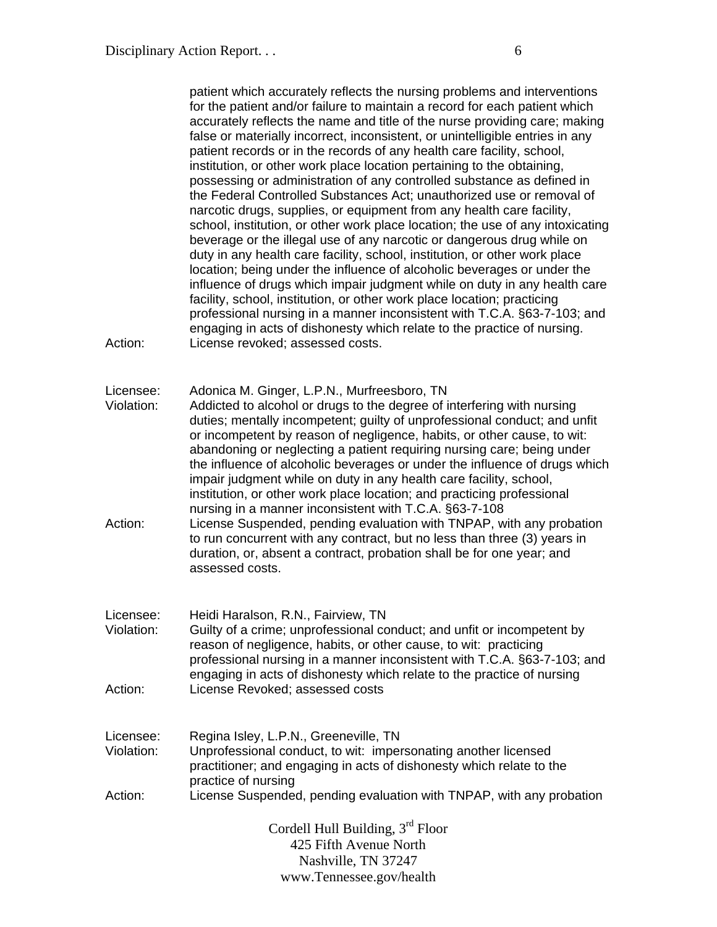patient which accurately reflects the nursing problems and interventions for the patient and/or failure to maintain a record for each patient which accurately reflects the name and title of the nurse providing care; making false or materially incorrect, inconsistent, or unintelligible entries in any patient records or in the records of any health care facility, school, institution, or other work place location pertaining to the obtaining, possessing or administration of any controlled substance as defined in the Federal Controlled Substances Act; unauthorized use or removal of narcotic drugs, supplies, or equipment from any health care facility, school, institution, or other work place location; the use of any intoxicating beverage or the illegal use of any narcotic or dangerous drug while on duty in any health care facility, school, institution, or other work place location; being under the influence of alcoholic beverages or under the influence of drugs which impair judgment while on duty in any health care facility, school, institution, or other work place location; practicing professional nursing in a manner inconsistent with T.C.A. §63-7-103; and engaging in acts of dishonesty which relate to the practice of nursing. Action: License revoked: assessed costs.

Licensee: Adonica M. Ginger, L.P.N., Murfreesboro, TN

Violation: Addicted to alcohol or drugs to the degree of interfering with nursing duties; mentally incompetent; guilty of unprofessional conduct; and unfit or incompetent by reason of negligence, habits, or other cause, to wit: abandoning or neglecting a patient requiring nursing care; being under the influence of alcoholic beverages or under the influence of drugs which impair judgment while on duty in any health care facility, school, institution, or other work place location; and practicing professional nursing in a manner inconsistent with T.C.A. §63-7-108 Action: License Suspended, pending evaluation with TNPAP, with any probation to run concurrent with any contract, but no less than three (3) years in duration, or, absent a contract, probation shall be for one year; and assessed costs.

- Licensee: Heidi Haralson, R.N., Fairview, TN Violation: Guilty of a crime; unprofessional conduct; and unfit or incompetent by reason of negligence, habits, or other cause, to wit: practicing professional nursing in a manner inconsistent with T.C.A. §63-7-103; and engaging in acts of dishonesty which relate to the practice of nursing Action: License Revoked; assessed costs
- Licensee: Regina Isley, L.P.N., Greeneville, TN Violation: Unprofessional conduct, to wit: impersonating another licensed practitioner; and engaging in acts of dishonesty which relate to the practice of nursing Action: License Suspended, pending evaluation with TNPAP, with any probation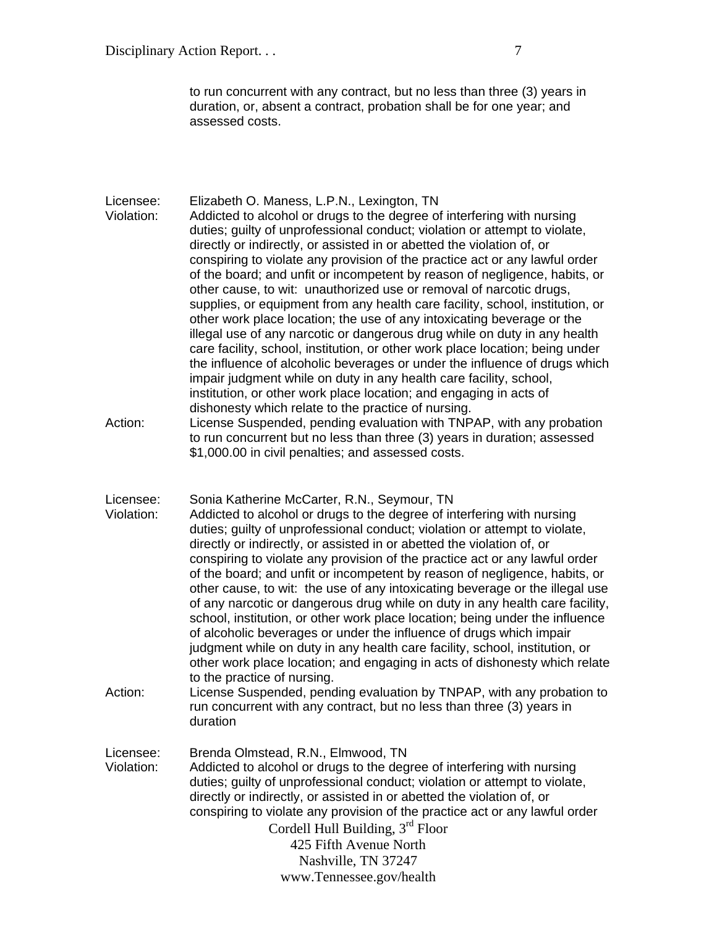Disciplinary Action Report. . . 7

to run concurrent with any contract, but no less than three (3) years in duration, or, absent a contract, probation shall be for one year; and assessed costs.

Licensee: Elizabeth O. Maness, L.P.N., Lexington, TN Violation: Addicted to alcohol or drugs to the degree of interfering with nursing duties; guilty of unprofessional conduct; violation or attempt to violate, directly or indirectly, or assisted in or abetted the violation of, or conspiring to violate any provision of the practice act or any lawful order of the board; and unfit or incompetent by reason of negligence, habits, or other cause, to wit: unauthorized use or removal of narcotic drugs, supplies, or equipment from any health care facility, school, institution, or other work place location; the use of any intoxicating beverage or the illegal use of any narcotic or dangerous drug while on duty in any health care facility, school, institution, or other work place location; being under the influence of alcoholic beverages or under the influence of drugs which impair judgment while on duty in any health care facility, school, institution, or other work place location; and engaging in acts of dishonesty which relate to the practice of nursing.

Action: License Suspended, pending evaluation with TNPAP, with any probation to run concurrent but no less than three (3) years in duration; assessed \$1,000.00 in civil penalties; and assessed costs.

Licensee: Sonia Katherine McCarter, R.N., Seymour, TN

- Violation: Addicted to alcohol or drugs to the degree of interfering with nursing duties; guilty of unprofessional conduct; violation or attempt to violate, directly or indirectly, or assisted in or abetted the violation of, or conspiring to violate any provision of the practice act or any lawful order of the board; and unfit or incompetent by reason of negligence, habits, or other cause, to wit: the use of any intoxicating beverage or the illegal use of any narcotic or dangerous drug while on duty in any health care facility, school, institution, or other work place location; being under the influence of alcoholic beverages or under the influence of drugs which impair judgment while on duty in any health care facility, school, institution, or other work place location; and engaging in acts of dishonesty which relate to the practice of nursing.
- Action: License Suspended, pending evaluation by TNPAP, with any probation to run concurrent with any contract, but no less than three (3) years in duration

Cordell Hull Building, 3rd Floor 425 Fifth Avenue North Licensee: Brenda Olmstead, R.N., Elmwood, TN Violation: Addicted to alcohol or drugs to the degree of interfering with nursing duties; guilty of unprofessional conduct; violation or attempt to violate, directly or indirectly, or assisted in or abetted the violation of, or conspiring to violate any provision of the practice act or any lawful order

Nashville, TN 37247 www.Tennessee.gov/health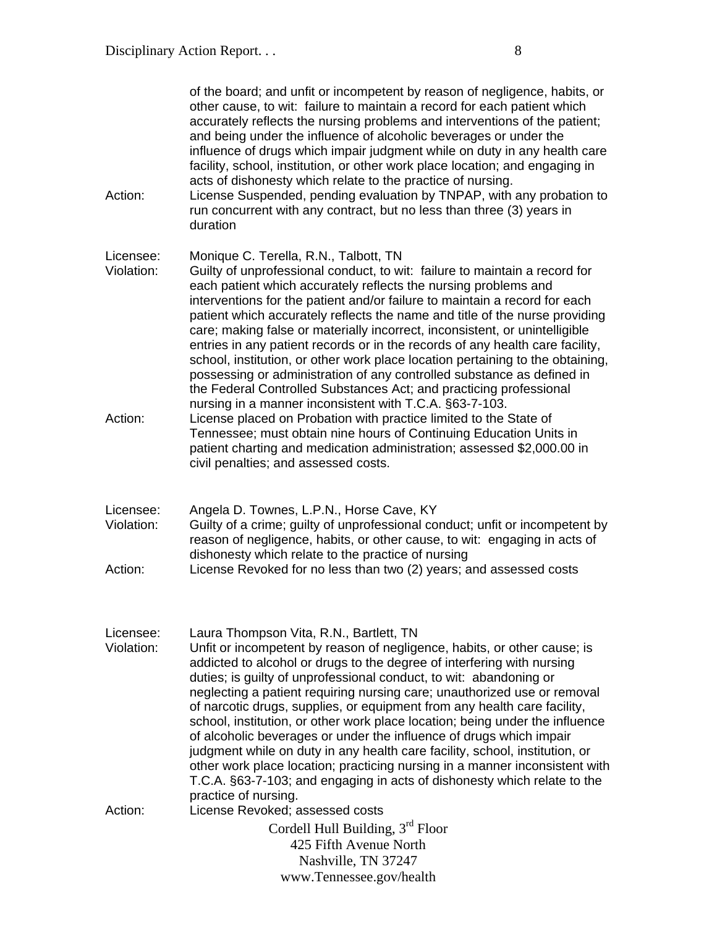| Action:                            | of the board; and unfit or incompetent by reason of negligence, habits, or<br>other cause, to wit: failure to maintain a record for each patient which<br>accurately reflects the nursing problems and interventions of the patient;<br>and being under the influence of alcoholic beverages or under the<br>influence of drugs which impair judgment while on duty in any health care<br>facility, school, institution, or other work place location; and engaging in<br>acts of dishonesty which relate to the practice of nursing.<br>License Suspended, pending evaluation by TNPAP, with any probation to<br>run concurrent with any contract, but no less than three (3) years in<br>duration                                                                                                                                                                                   |
|------------------------------------|---------------------------------------------------------------------------------------------------------------------------------------------------------------------------------------------------------------------------------------------------------------------------------------------------------------------------------------------------------------------------------------------------------------------------------------------------------------------------------------------------------------------------------------------------------------------------------------------------------------------------------------------------------------------------------------------------------------------------------------------------------------------------------------------------------------------------------------------------------------------------------------|
| Licensee:<br>Violation:<br>Action: | Monique C. Terella, R.N., Talbott, TN<br>Guilty of unprofessional conduct, to wit: failure to maintain a record for<br>each patient which accurately reflects the nursing problems and<br>interventions for the patient and/or failure to maintain a record for each<br>patient which accurately reflects the name and title of the nurse providing<br>care; making false or materially incorrect, inconsistent, or unintelligible<br>entries in any patient records or in the records of any health care facility,<br>school, institution, or other work place location pertaining to the obtaining,<br>possessing or administration of any controlled substance as defined in<br>the Federal Controlled Substances Act; and practicing professional<br>nursing in a manner inconsistent with T.C.A. §63-7-103.<br>License placed on Probation with practice limited to the State of |
|                                    | Tennessee; must obtain nine hours of Continuing Education Units in<br>patient charting and medication administration; assessed \$2,000.00 in<br>civil penalties; and assessed costs.                                                                                                                                                                                                                                                                                                                                                                                                                                                                                                                                                                                                                                                                                                  |
| Licensee:<br>Violation:<br>Action: | Angela D. Townes, L.P.N., Horse Cave, KY<br>Guilty of a crime; guilty of unprofessional conduct; unfit or incompetent by<br>reason of negligence, habits, or other cause, to wit: engaging in acts of<br>dishonesty which relate to the practice of nursing<br>License Revoked for no less than two (2) years; and assessed costs                                                                                                                                                                                                                                                                                                                                                                                                                                                                                                                                                     |
| Licensee:<br>Violation:            | Laura Thompson Vita, R.N., Bartlett, TN<br>Unfit or incompetent by reason of negligence, habits, or other cause; is<br>addicted to alcohol or drugs to the degree of interfering with nursing<br>duties; is guilty of unprofessional conduct, to wit: abandoning or<br>neglecting a patient requiring nursing care; unauthorized use or removal<br>of narcotic drugs, supplies, or equipment from any health care facility,<br>school, institution, or other work place location; being under the influence<br>of alcoholic beverages or under the influence of drugs which impair<br>judgment while on duty in any health care facility, school, institution, or<br>other work place location; practicing nursing in a manner inconsistent with<br>T.C.A. §63-7-103; and engaging in acts of dishonesty which relate to the                                                          |
| Action:                            | practice of nursing.<br>License Revoked; assessed costs<br>Cordell Hull Building, $3rd$ Floor<br>425 Fifth Avenue North<br>Nashville, TN 37247                                                                                                                                                                                                                                                                                                                                                                                                                                                                                                                                                                                                                                                                                                                                        |
|                                    | www.Tennessee.gov/health                                                                                                                                                                                                                                                                                                                                                                                                                                                                                                                                                                                                                                                                                                                                                                                                                                                              |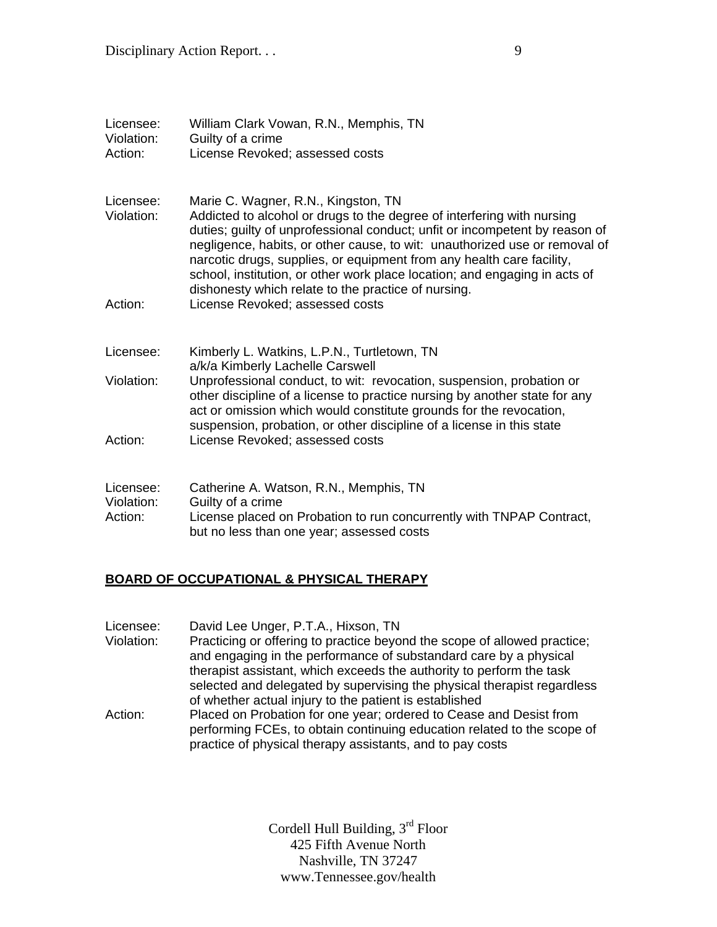| Licensee:<br>Violation:<br>Action: | William Clark Vowan, R.N., Memphis, TN<br>Guilty of a crime<br>License Revoked; assessed costs                                                                                                                                                                                                                                                                                                                                                                                           |
|------------------------------------|------------------------------------------------------------------------------------------------------------------------------------------------------------------------------------------------------------------------------------------------------------------------------------------------------------------------------------------------------------------------------------------------------------------------------------------------------------------------------------------|
| Licensee:<br>Violation:            | Marie C. Wagner, R.N., Kingston, TN<br>Addicted to alcohol or drugs to the degree of interfering with nursing<br>duties; guilty of unprofessional conduct; unfit or incompetent by reason of<br>negligence, habits, or other cause, to wit: unauthorized use or removal of<br>narcotic drugs, supplies, or equipment from any health care facility,<br>school, institution, or other work place location; and engaging in acts of<br>dishonesty which relate to the practice of nursing. |
| Action:                            | License Revoked; assessed costs                                                                                                                                                                                                                                                                                                                                                                                                                                                          |
| Licensee:                          | Kimberly L. Watkins, L.P.N., Turtletown, TN<br>a/k/a Kimberly Lachelle Carswell                                                                                                                                                                                                                                                                                                                                                                                                          |
| Violation:                         | Unprofessional conduct, to wit: revocation, suspension, probation or<br>other discipline of a license to practice nursing by another state for any<br>act or omission which would constitute grounds for the revocation,<br>suspension, probation, or other discipline of a license in this state                                                                                                                                                                                        |
| Action:                            | License Revoked; assessed costs                                                                                                                                                                                                                                                                                                                                                                                                                                                          |
| Licensee:<br>Violation:<br>Action: | Catherine A. Watson, R.N., Memphis, TN<br>Guilty of a crime<br>License placed on Probation to run concurrently with TNPAP Contract,<br>but no less than one year; assessed costs                                                                                                                                                                                                                                                                                                         |

# **BOARD OF OCCUPATIONAL & PHYSICAL THERAPY**

| Licensee:  | David Lee Unger, P.T.A., Hixson, TN                                      |
|------------|--------------------------------------------------------------------------|
| Violation: | Practicing or offering to practice beyond the scope of allowed practice; |
|            | and engaging in the performance of substandard care by a physical        |
|            | therapist assistant, which exceeds the authority to perform the task     |
|            | selected and delegated by supervising the physical therapist regardless  |
|            | of whether actual injury to the patient is established                   |
| Action:    | Placed on Probation for one year; ordered to Cease and Desist from       |
|            | performing FCEs, to obtain continuing education related to the scope of  |
|            | practice of physical therapy assistants, and to pay costs                |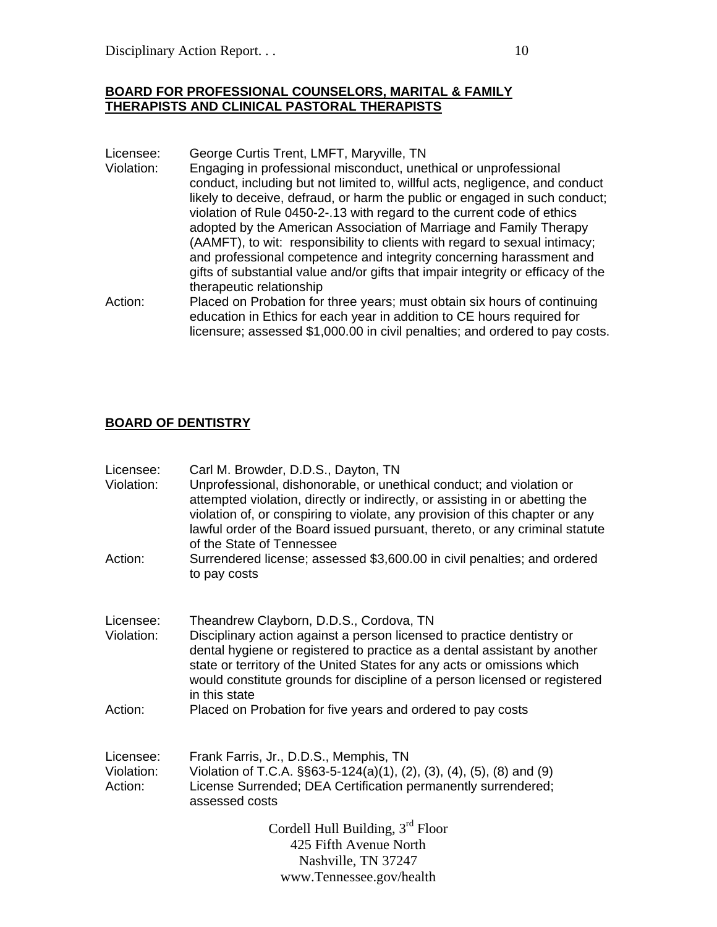#### **BOARD FOR PROFESSIONAL COUNSELORS, MARITAL & FAMILY THERAPISTS AND CLINICAL PASTORAL THERAPISTS**

- Licensee: George Curtis Trent, LMFT, Maryville, TN
- Violation: Engaging in professional misconduct, unethical or unprofessional conduct, including but not limited to, willful acts, negligence, and conduct likely to deceive, defraud, or harm the public or engaged in such conduct; violation of Rule 0450-2-.13 with regard to the current code of ethics adopted by the American Association of Marriage and Family Therapy (AAMFT), to wit: responsibility to clients with regard to sexual intimacy; and professional competence and integrity concerning harassment and gifts of substantial value and/or gifts that impair integrity or efficacy of the therapeutic relationship
- Action: Placed on Probation for three years; must obtain six hours of continuing education in Ethics for each year in addition to CE hours required for licensure; assessed \$1,000.00 in civil penalties; and ordered to pay costs.

### **BOARD OF DENTISTRY**

| Licensee:<br>Violation:            | Carl M. Browder, D.D.S., Dayton, TN<br>Unprofessional, dishonorable, or unethical conduct; and violation or<br>attempted violation, directly or indirectly, or assisting in or abetting the<br>violation of, or conspiring to violate, any provision of this chapter or any<br>lawful order of the Board issued pursuant, thereto, or any criminal statute<br>of the State of Tennessee |
|------------------------------------|-----------------------------------------------------------------------------------------------------------------------------------------------------------------------------------------------------------------------------------------------------------------------------------------------------------------------------------------------------------------------------------------|
| Action:                            | Surrendered license; assessed \$3,600.00 in civil penalties; and ordered<br>to pay costs                                                                                                                                                                                                                                                                                                |
| Licensee:<br>Violation:            | Theandrew Clayborn, D.D.S., Cordova, TN<br>Disciplinary action against a person licensed to practice dentistry or<br>dental hygiene or registered to practice as a dental assistant by another<br>state or territory of the United States for any acts or omissions which<br>would constitute grounds for discipline of a person licensed or registered<br>in this state                |
| Action:                            | Placed on Probation for five years and ordered to pay costs                                                                                                                                                                                                                                                                                                                             |
| Licensee:<br>Violation:<br>Action: | Frank Farris, Jr., D.D.S., Memphis, TN<br>Violation of T.C.A. §§63-5-124(a)(1), (2), (3), (4), (5), (8) and (9)<br>License Surrended; DEA Certification permanently surrendered;<br>assessed costs                                                                                                                                                                                      |
|                                    | Cordell Hull Building, 3rd Floor                                                                                                                                                                                                                                                                                                                                                        |
|                                    | 425 Fifth Avenue North                                                                                                                                                                                                                                                                                                                                                                  |
|                                    | Nashville, TN 37247                                                                                                                                                                                                                                                                                                                                                                     |
|                                    | www.Tennessee.gov/health                                                                                                                                                                                                                                                                                                                                                                |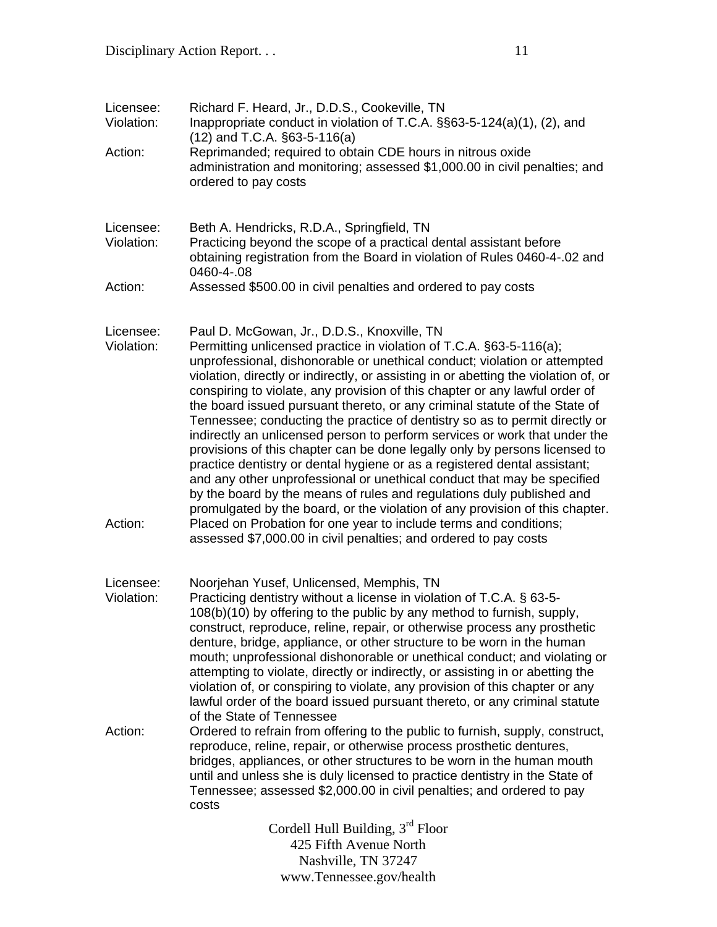| Licensee:<br>Violation: | Richard F. Heard, Jr., D.D.S., Cookeville, TN<br>Inappropriate conduct in violation of T.C.A. §§63-5-124(a)(1), (2), and<br>$(12)$ and T.C.A. $\S$ 63-5-116(a)                                                                                                                                                                                                                                                                                                                                                                                                                                                                                                                                                                                                                                                                                                                                                                                                                                                  |
|-------------------------|-----------------------------------------------------------------------------------------------------------------------------------------------------------------------------------------------------------------------------------------------------------------------------------------------------------------------------------------------------------------------------------------------------------------------------------------------------------------------------------------------------------------------------------------------------------------------------------------------------------------------------------------------------------------------------------------------------------------------------------------------------------------------------------------------------------------------------------------------------------------------------------------------------------------------------------------------------------------------------------------------------------------|
| Action:                 | Reprimanded; required to obtain CDE hours in nitrous oxide<br>administration and monitoring; assessed \$1,000.00 in civil penalties; and<br>ordered to pay costs                                                                                                                                                                                                                                                                                                                                                                                                                                                                                                                                                                                                                                                                                                                                                                                                                                                |
| Licensee:<br>Violation: | Beth A. Hendricks, R.D.A., Springfield, TN<br>Practicing beyond the scope of a practical dental assistant before<br>obtaining registration from the Board in violation of Rules 0460-4-.02 and<br>0460-4-.08                                                                                                                                                                                                                                                                                                                                                                                                                                                                                                                                                                                                                                                                                                                                                                                                    |
| Action:                 | Assessed \$500.00 in civil penalties and ordered to pay costs                                                                                                                                                                                                                                                                                                                                                                                                                                                                                                                                                                                                                                                                                                                                                                                                                                                                                                                                                   |
| Licensee:<br>Violation: | Paul D. McGowan, Jr., D.D.S., Knoxville, TN<br>Permitting unlicensed practice in violation of T.C.A. §63-5-116(a);<br>unprofessional, dishonorable or unethical conduct; violation or attempted<br>violation, directly or indirectly, or assisting in or abetting the violation of, or<br>conspiring to violate, any provision of this chapter or any lawful order of<br>the board issued pursuant thereto, or any criminal statute of the State of<br>Tennessee; conducting the practice of dentistry so as to permit directly or<br>indirectly an unlicensed person to perform services or work that under the<br>provisions of this chapter can be done legally only by persons licensed to<br>practice dentistry or dental hygiene or as a registered dental assistant;<br>and any other unprofessional or unethical conduct that may be specified<br>by the board by the means of rules and regulations duly published and<br>promulgated by the board, or the violation of any provision of this chapter. |
| Action:                 | Placed on Probation for one year to include terms and conditions;<br>assessed \$7,000.00 in civil penalties; and ordered to pay costs                                                                                                                                                                                                                                                                                                                                                                                                                                                                                                                                                                                                                                                                                                                                                                                                                                                                           |
| Licensee:<br>Violation: | Noorjehan Yusef, Unlicensed, Memphis, TN<br>Practicing dentistry without a license in violation of T.C.A. § 63-5-<br>108(b)(10) by offering to the public by any method to furnish, supply,<br>construct, reproduce, reline, repair, or otherwise process any prosthetic<br>denture, bridge, appliance, or other structure to be worn in the human<br>mouth; unprofessional dishonorable or unethical conduct; and violating or<br>attempting to violate, directly or indirectly, or assisting in or abetting the<br>violation of, or conspiring to violate, any provision of this chapter or any<br>lawful order of the board issued pursuant thereto, or any criminal statute                                                                                                                                                                                                                                                                                                                                 |
| Action:                 | of the State of Tennessee<br>Ordered to refrain from offering to the public to furnish, supply, construct,<br>reproduce, reline, repair, or otherwise process prosthetic dentures,<br>bridges, appliances, or other structures to be worn in the human mouth<br>until and unless she is duly licensed to practice dentistry in the State of<br>Tennessee; assessed \$2,000.00 in civil penalties; and ordered to pay<br>costs                                                                                                                                                                                                                                                                                                                                                                                                                                                                                                                                                                                   |
|                         | Cordell Hull Building, $3rd$ Floor<br>425 Fifth Avenue North                                                                                                                                                                                                                                                                                                                                                                                                                                                                                                                                                                                                                                                                                                                                                                                                                                                                                                                                                    |

425 Fifth Avenue North Nashville, TN 37247 www.Tennessee.gov/health